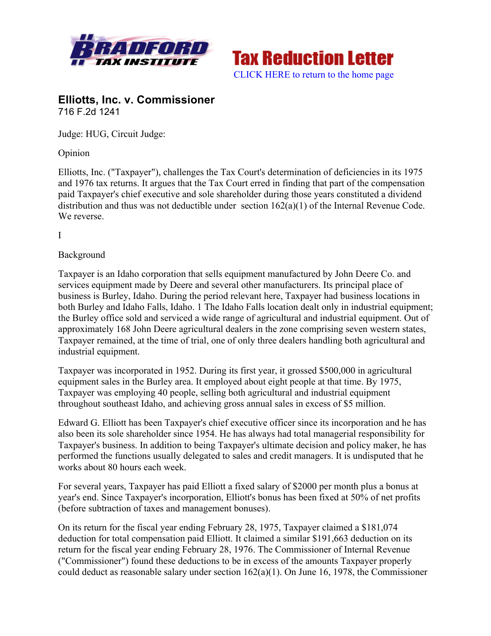



# **Elliotts, Inc. v. Commissioner** 716 F.2d 1241

Judge: HUG, Circuit Judge:

Opinion

Elliotts, Inc. ("Taxpayer"), challenges the Tax Court's determination of deficiencies in its 1975 and 1976 tax returns. It argues that the Tax Court erred in finding that part of the compensation paid Taxpayer's chief executive and sole shareholder during those years constituted a dividend distribution and thus was not deductible under section 162(a)(1) of the Internal Revenue Code. We reverse.

I

#### Background

Taxpayer is an Idaho corporation that sells equipment manufactured by John Deere Co. and services equipment made by Deere and several other manufacturers. Its principal place of business is Burley, Idaho. During the period relevant here, Taxpayer had business locations in both Burley and Idaho Falls, Idaho. 1 The Idaho Falls location dealt only in industrial equipment; the Burley office sold and serviced a wide range of agricultural and industrial equipment. Out of approximately 168 John Deere agricultural dealers in the zone comprising seven western states, Taxpayer remained, at the time of trial, one of only three dealers handling both agricultural and industrial equipment.

Taxpayer was incorporated in 1952. During its first year, it grossed \$500,000 in agricultural equipment sales in the Burley area. It employed about eight people at that time. By 1975, Taxpayer was employing 40 people, selling both agricultural and industrial equipment throughout southeast Idaho, and achieving gross annual sales in excess of \$5 million.

Edward G. Elliott has been Taxpayer's chief executive officer since its incorporation and he has also been its sole shareholder since 1954. He has always had total managerial responsibility for Taxpayer's business. In addition to being Taxpayer's ultimate decision and policy maker, he has performed the functions usually delegated to sales and credit managers. It is undisputed that he works about 80 hours each week.

For several years, Taxpayer has paid Elliott a fixed salary of \$2000 per month plus a bonus at year's end. Since Taxpayer's incorporation, Elliott's bonus has been fixed at 50% of net profits (before subtraction of taxes and management bonuses).

On its return for the fiscal year ending February 28, 1975, Taxpayer claimed a \$181,074 deduction for total compensation paid Elliott. It claimed a similar \$191,663 deduction on its return for the fiscal year ending February 28, 1976. The Commissioner of Internal Revenue ("Commissioner") found these deductions to be in excess of the amounts Taxpayer properly could deduct as reasonable salary under section 162(a)(1). On June 16, 1978, the Commissioner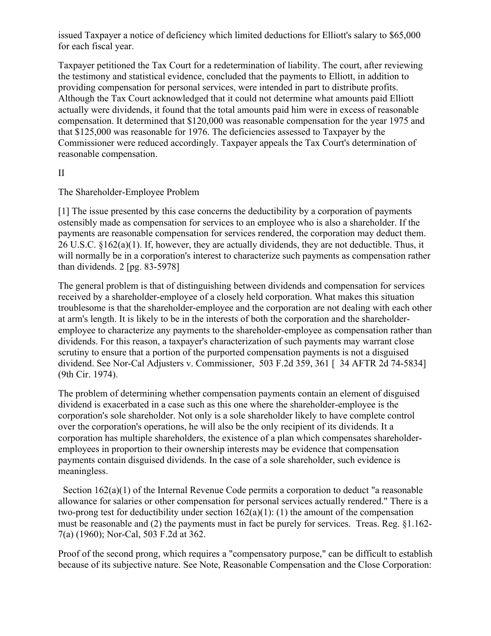issued Taxpayer a notice of deficiency which limited deductions for Elliott's salary to \$65,000 for each fiscal year.

Taxpayer petitioned the Tax Court for a redetermination of liability. The court, after reviewing the testimony and statistical evidence, concluded that the payments to Elliott, in addition to providing compensation for personal services, were intended in part to distribute profits. Although the Tax Court acknowledged that it could not determine what amounts paid Elliott actually were dividends, it found that the total amounts paid him were in excess of reasonable compensation. It determined that \$120,000 was reasonable compensation for the year 1975 and that \$125,000 was reasonable for 1976. The deficiencies assessed to Taxpayer by the Commissioner were reduced accordingly. Taxpayer appeals the Tax Court's determination of reasonable compensation.

#### II

The Shareholder-Employee Problem

[1] The issue presented by this case concerns the deductibility by a corporation of payments ostensibly made as compensation for services to an employee who is also a shareholder. If the payments are reasonable compensation for services rendered, the corporation may deduct them.  $26 \text{ U.S.C. }$   $§162(a)(1)$ . If, however, they are actually dividends, they are not deductible. Thus, it will normally be in a corporation's interest to characterize such payments as compensation rather than dividends. 2 [pg. 83-5978]

The general problem is that of distinguishing between dividends and compensation for services received by a shareholder-employee of a closely held corporation. What makes this situation troublesome is that the shareholder-employee and the corporation are not dealing with each other at arm's length. It is likely to be in the interests of both the corporation and the shareholderemployee to characterize any payments to the shareholder-employee as compensation rather than dividends. For this reason, a taxpayer's characterization of such payments may warrant close scrutiny to ensure that a portion of the purported compensation payments is not a disguised dividend. See Nor-Cal Adjusters v. Commissioner, 503 F.2d 359, 361 [ 34 AFTR 2d 74-5834] (9th Cir. 1974).

The problem of determining whether compensation payments contain an element of disguised dividend is exacerbated in a case such as this one where the shareholder-employee is the corporation's sole shareholder. Not only is a sole shareholder likely to have complete control over the corporation's operations, he will also be the only recipient of its dividends. It a corporation has multiple shareholders, the existence of a plan which compensates shareholderemployees in proportion to their ownership interests may be evidence that compensation payments contain disguised dividends. In the case of a sole shareholder, such evidence is meaningless.

Section  $162(a)(1)$  of the Internal Revenue Code permits a corporation to deduct "a reasonable allowance for salaries or other compensation for personal services actually rendered." There is a two-prong test for deductibility under section  $162(a)(1)$ : (1) the amount of the compensation must be reasonable and (2) the payments must in fact be purely for services. Treas. Reg. §1.162- 7(a) (1960); Nor-Cal, 503 F.2d at 362.

Proof of the second prong, which requires a "compensatory purpose," can be difficult to establish because of its subjective nature. See Note, Reasonable Compensation and the Close Corporation: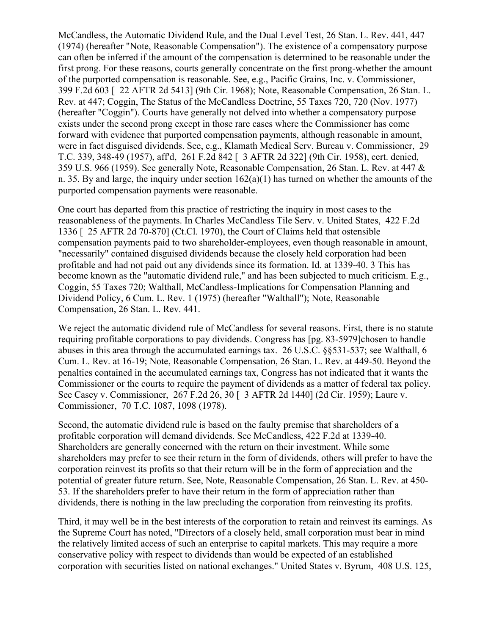McCandless, the Automatic Dividend Rule, and the Dual Level Test, 26 Stan. L. Rev. 441, 447 (1974) (hereafter "Note, Reasonable Compensation"). The existence of a compensatory purpose can often be inferred if the amount of the compensation is determined to be reasonable under the first prong. For these reasons, courts generally concentrate on the first prong-whether the amount of the purported compensation is reasonable. See, e.g., Pacific Grains, Inc. v. Commissioner, 399 F.2d 603 [ 22 AFTR 2d 5413] (9th Cir. 1968); Note, Reasonable Compensation, 26 Stan. L. Rev. at 447; Coggin, The Status of the McCandless Doctrine, 55 Taxes 720, 720 (Nov. 1977) (hereafter "Coggin"). Courts have generally not delved into whether a compensatory purpose exists under the second prong except in those rare cases where the Commissioner has come forward with evidence that purported compensation payments, although reasonable in amount, were in fact disguised dividends. See, e.g., Klamath Medical Serv. Bureau v. Commissioner, 29 T.C. 339, 348-49 (1957), aff'd, 261 F.2d 842 [ 3 AFTR 2d 322] (9th Cir. 1958), cert. denied, 359 U.S. 966 (1959). See generally Note, Reasonable Compensation, 26 Stan. L. Rev. at 447 & n. 35. By and large, the inquiry under section  $162(a)(1)$  has turned on whether the amounts of the purported compensation payments were reasonable.

One court has departed from this practice of restricting the inquiry in most cases to the reasonableness of the payments. In Charles McCandless Tile Serv. v. United States, 422 F.2d 1336 [ 25 AFTR 2d 70-870] (Ct.Cl. 1970), the Court of Claims held that ostensible compensation payments paid to two shareholder-employees, even though reasonable in amount, "necessarily" contained disguised dividends because the closely held corporation had been profitable and had not paid out any dividends since its formation. Id. at 1339-40. 3 This has become known as the "automatic dividend rule," and has been subjected to much criticism. E.g., Coggin, 55 Taxes 720; Walthall, McCandless-Implications for Compensation Planning and Dividend Policy, 6 Cum. L. Rev. 1 (1975) (hereafter "Walthall"); Note, Reasonable Compensation, 26 Stan. L. Rev. 441.

We reject the automatic dividend rule of McCandless for several reasons. First, there is no statute requiring profitable corporations to pay dividends. Congress has [pg. 83-5979]chosen to handle abuses in this area through the accumulated earnings tax. 26 U.S.C. §§531-537; see Walthall, 6 Cum. L. Rev. at 16-19; Note, Reasonable Compensation, 26 Stan. L. Rev. at 449-50. Beyond the penalties contained in the accumulated earnings tax, Congress has not indicated that it wants the Commissioner or the courts to require the payment of dividends as a matter of federal tax policy. See Casey v. Commissioner, 267 F.2d 26, 30 [ 3 AFTR 2d 1440] (2d Cir. 1959); Laure v. Commissioner, 70 T.C. 1087, 1098 (1978).

Second, the automatic dividend rule is based on the faulty premise that shareholders of a profitable corporation will demand dividends. See McCandless, 422 F.2d at 1339-40. Shareholders are generally concerned with the return on their investment. While some shareholders may prefer to see their return in the form of dividends, others will prefer to have the corporation reinvest its profits so that their return will be in the form of appreciation and the potential of greater future return. See, Note, Reasonable Compensation, 26 Stan. L. Rev. at 450- 53. If the shareholders prefer to have their return in the form of appreciation rather than dividends, there is nothing in the law precluding the corporation from reinvesting its profits.

Third, it may well be in the best interests of the corporation to retain and reinvest its earnings. As the Supreme Court has noted, "Directors of a closely held, small corporation must bear in mind the relatively limited access of such an enterprise to capital markets. This may require a more conservative policy with respect to dividends than would be expected of an established corporation with securities listed on national exchanges." United States v. Byrum, 408 U.S. 125,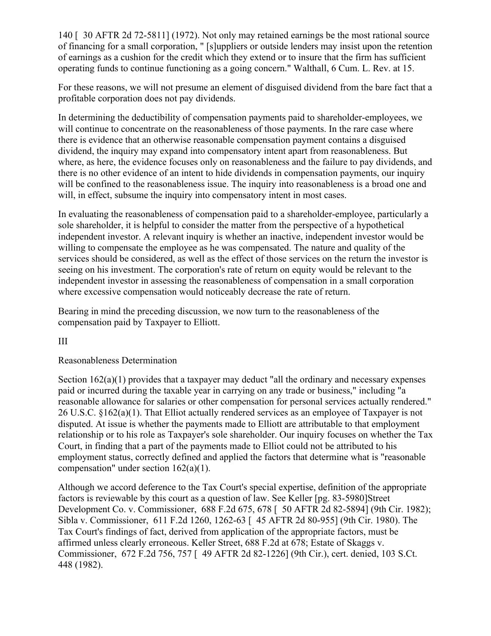140 [ 30 AFTR 2d 72-5811] (1972). Not only may retained earnings be the most rational source of financing for a small corporation, " [s]uppliers or outside lenders may insist upon the retention of earnings as a cushion for the credit which they extend or to insure that the firm has sufficient operating funds to continue functioning as a going concern." Walthall, 6 Cum. L. Rev. at 15.

For these reasons, we will not presume an element of disguised dividend from the bare fact that a profitable corporation does not pay dividends.

In determining the deductibility of compensation payments paid to shareholder-employees, we will continue to concentrate on the reasonableness of those payments. In the rare case where there is evidence that an otherwise reasonable compensation payment contains a disguised dividend, the inquiry may expand into compensatory intent apart from reasonableness. But where, as here, the evidence focuses only on reasonableness and the failure to pay dividends, and there is no other evidence of an intent to hide dividends in compensation payments, our inquiry will be confined to the reasonableness issue. The inquiry into reasonableness is a broad one and will, in effect, subsume the inquiry into compensatory intent in most cases.

In evaluating the reasonableness of compensation paid to a shareholder-employee, particularly a sole shareholder, it is helpful to consider the matter from the perspective of a hypothetical independent investor. A relevant inquiry is whether an inactive, independent investor would be willing to compensate the employee as he was compensated. The nature and quality of the services should be considered, as well as the effect of those services on the return the investor is seeing on his investment. The corporation's rate of return on equity would be relevant to the independent investor in assessing the reasonableness of compensation in a small corporation where excessive compensation would noticeably decrease the rate of return.

Bearing in mind the preceding discussion, we now turn to the reasonableness of the compensation paid by Taxpayer to Elliott.

#### III

#### Reasonableness Determination

Section  $162(a)(1)$  provides that a taxpayer may deduct "all the ordinary and necessary expenses paid or incurred during the taxable year in carrying on any trade or business," including "a reasonable allowance for salaries or other compensation for personal services actually rendered." 26 U.S.C. §162(a)(1). That Elliot actually rendered services as an employee of Taxpayer is not disputed. At issue is whether the payments made to Elliott are attributable to that employment relationship or to his role as Taxpayer's sole shareholder. Our inquiry focuses on whether the Tax Court, in finding that a part of the payments made to Elliot could not be attributed to his employment status, correctly defined and applied the factors that determine what is "reasonable compensation" under section 162(a)(1).

Although we accord deference to the Tax Court's special expertise, definition of the appropriate factors is reviewable by this court as a question of law. See Keller [pg. 83-5980]Street Development Co. v. Commissioner, 688 F.2d 675, 678 [ 50 AFTR 2d 82-5894] (9th Cir. 1982); Sibla v. Commissioner, 611 F.2d 1260, 1262-63 [ 45 AFTR 2d 80-955] (9th Cir. 1980). The Tax Court's findings of fact, derived from application of the appropriate factors, must be affirmed unless clearly erroneous. Keller Street, 688 F.2d at 678; Estate of Skaggs v. Commissioner, 672 F.2d 756, 757 [ 49 AFTR 2d 82-1226] (9th Cir.), cert. denied, 103 S.Ct. 448 (1982).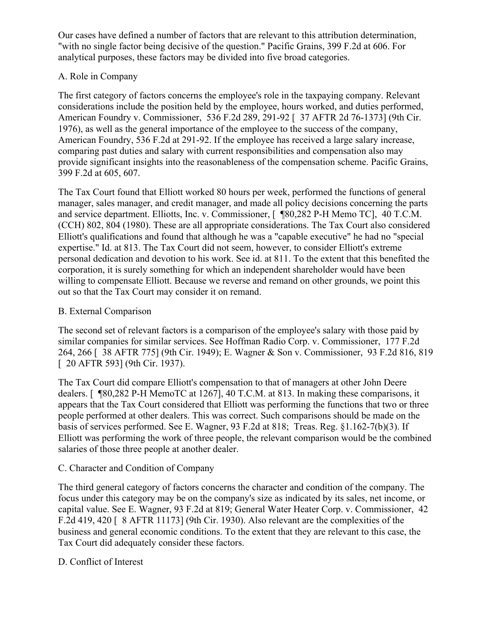Our cases have defined a number of factors that are relevant to this attribution determination, "with no single factor being decisive of the question." Pacific Grains, 399 F.2d at 606. For analytical purposes, these factors may be divided into five broad categories.

### A. Role in Company

The first category of factors concerns the employee's role in the taxpaying company. Relevant considerations include the position held by the employee, hours worked, and duties performed, American Foundry v. Commissioner, 536 F.2d 289, 291-92 [ 37 AFTR 2d 76-1373] (9th Cir. 1976), as well as the general importance of the employee to the success of the company, American Foundry, 536 F.2d at 291-92. If the employee has received a large salary increase, comparing past duties and salary with current responsibilities and compensation also may provide significant insights into the reasonableness of the compensation scheme. Pacific Grains, 399 F.2d at 605, 607.

The Tax Court found that Elliott worked 80 hours per week, performed the functions of general manager, sales manager, and credit manager, and made all policy decisions concerning the parts and service department. Elliotts, Inc. v. Commissioner, [ ¶80,282 P-H Memo TC], 40 T.C.M. (CCH) 802, 804 (1980). These are all appropriate considerations. The Tax Court also considered Elliott's qualifications and found that although he was a "capable executive" he had no "special expertise." Id. at 813. The Tax Court did not seem, however, to consider Elliott's extreme personal dedication and devotion to his work. See id. at 811. To the extent that this benefited the corporation, it is surely something for which an independent shareholder would have been willing to compensate Elliott. Because we reverse and remand on other grounds, we point this out so that the Tax Court may consider it on remand.

#### B. External Comparison

The second set of relevant factors is a comparison of the employee's salary with those paid by similar companies for similar services. See Hoffman Radio Corp. v. Commissioner, 177 F.2d 264, 266 [ 38 AFTR 775] (9th Cir. 1949); E. Wagner & Son v. Commissioner, 93 F.2d 816, 819 [ 20 AFTR 593] (9th Cir. 1937).

The Tax Court did compare Elliott's compensation to that of managers at other John Deere dealers. [ ¶80,282 P-H MemoTC at 1267], 40 T.C.M. at 813. In making these comparisons, it appears that the Tax Court considered that Elliott was performing the functions that two or three people performed at other dealers. This was correct. Such comparisons should be made on the basis of services performed. See E. Wagner, 93 F.2d at 818; Treas. Reg. §1.162-7(b)(3). If Elliott was performing the work of three people, the relevant comparison would be the combined salaries of those three people at another dealer.

#### C. Character and Condition of Company

The third general category of factors concerns the character and condition of the company. The focus under this category may be on the company's size as indicated by its sales, net income, or capital value. See E. Wagner, 93 F.2d at 819; General Water Heater Corp. v. Commissioner, 42 F.2d 419, 420 [ 8 AFTR 11173] (9th Cir. 1930). Also relevant are the complexities of the business and general economic conditions. To the extent that they are relevant to this case, the Tax Court did adequately consider these factors.

## D. Conflict of Interest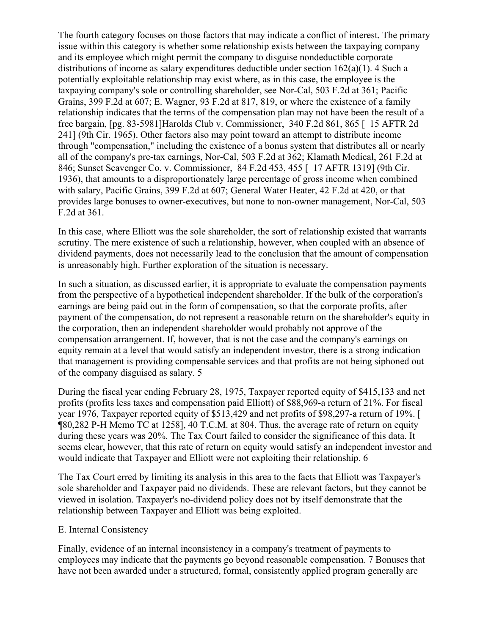The fourth category focuses on those factors that may indicate a conflict of interest. The primary issue within this category is whether some relationship exists between the taxpaying company and its employee which might permit the company to disguise nondeductible corporate distributions of income as salary expenditures deductible under section  $162(a)(1)$ . 4 Such a potentially exploitable relationship may exist where, as in this case, the employee is the taxpaying company's sole or controlling shareholder, see Nor-Cal, 503 F.2d at 361; Pacific Grains, 399 F.2d at 607; E. Wagner, 93 F.2d at 817, 819, or where the existence of a family relationship indicates that the terms of the compensation plan may not have been the result of a free bargain, [pg. 83-5981]Harolds Club v. Commissioner, 340 F.2d 861, 865 [ 15 AFTR 2d 241] (9th Cir. 1965). Other factors also may point toward an attempt to distribute income through "compensation," including the existence of a bonus system that distributes all or nearly all of the company's pre-tax earnings, Nor-Cal, 503 F.2d at 362; Klamath Medical, 261 F.2d at 846; Sunset Scavenger Co. v. Commissioner, 84 F.2d 453, 455 [ 17 AFTR 1319] (9th Cir. 1936), that amounts to a disproportionately large percentage of gross income when combined with salary, Pacific Grains, 399 F.2d at 607; General Water Heater, 42 F.2d at 420, or that provides large bonuses to owner-executives, but none to non-owner management, Nor-Cal, 503 F.2d at 361.

In this case, where Elliott was the sole shareholder, the sort of relationship existed that warrants scrutiny. The mere existence of such a relationship, however, when coupled with an absence of dividend payments, does not necessarily lead to the conclusion that the amount of compensation is unreasonably high. Further exploration of the situation is necessary.

In such a situation, as discussed earlier, it is appropriate to evaluate the compensation payments from the perspective of a hypothetical independent shareholder. If the bulk of the corporation's earnings are being paid out in the form of compensation, so that the corporate profits, after payment of the compensation, do not represent a reasonable return on the shareholder's equity in the corporation, then an independent shareholder would probably not approve of the compensation arrangement. If, however, that is not the case and the company's earnings on equity remain at a level that would satisfy an independent investor, there is a strong indication that management is providing compensable services and that profits are not being siphoned out of the company disguised as salary. 5

During the fiscal year ending February 28, 1975, Taxpayer reported equity of \$415,133 and net profits (profits less taxes and compensation paid Elliott) of \$88,969-a return of 21%. For fiscal year 1976, Taxpayer reported equity of \$513,429 and net profits of \$98,297-a return of 19%. [ ¶80,282 P-H Memo TC at 1258], 40 T.C.M. at 804. Thus, the average rate of return on equity during these years was 20%. The Tax Court failed to consider the significance of this data. It seems clear, however, that this rate of return on equity would satisfy an independent investor and would indicate that Taxpayer and Elliott were not exploiting their relationship. 6

The Tax Court erred by limiting its analysis in this area to the facts that Elliott was Taxpayer's sole shareholder and Taxpayer paid no dividends. These are relevant factors, but they cannot be viewed in isolation. Taxpayer's no-dividend policy does not by itself demonstrate that the relationship between Taxpayer and Elliott was being exploited.

#### E. Internal Consistency

Finally, evidence of an internal inconsistency in a company's treatment of payments to employees may indicate that the payments go beyond reasonable compensation. 7 Bonuses that have not been awarded under a structured, formal, consistently applied program generally are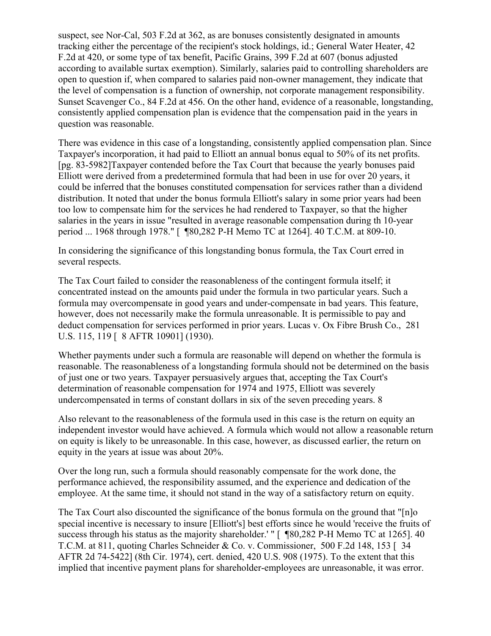suspect, see Nor-Cal, 503 F.2d at 362, as are bonuses consistently designated in amounts tracking either the percentage of the recipient's stock holdings, id.; General Water Heater, 42 F.2d at 420, or some type of tax benefit, Pacific Grains, 399 F.2d at 607 (bonus adjusted according to available surtax exemption). Similarly, salaries paid to controlling shareholders are open to question if, when compared to salaries paid non-owner management, they indicate that the level of compensation is a function of ownership, not corporate management responsibility. Sunset Scavenger Co., 84 F.2d at 456. On the other hand, evidence of a reasonable, longstanding, consistently applied compensation plan is evidence that the compensation paid in the years in question was reasonable.

There was evidence in this case of a longstanding, consistently applied compensation plan. Since Taxpayer's incorporation, it had paid to Elliott an annual bonus equal to 50% of its net profits. [pg. 83-5982]Taxpayer contended before the Tax Court that because the yearly bonuses paid Elliott were derived from a predetermined formula that had been in use for over 20 years, it could be inferred that the bonuses constituted compensation for services rather than a dividend distribution. It noted that under the bonus formula Elliott's salary in some prior years had been too low to compensate him for the services he had rendered to Taxpayer, so that the higher salaries in the years in issue "resulted in average reasonable compensation during th 10-year period ... 1968 through 1978." [ ¶80,282 P-H Memo TC at 1264]. 40 T.C.M. at 809-10.

In considering the significance of this longstanding bonus formula, the Tax Court erred in several respects.

The Tax Court failed to consider the reasonableness of the contingent formula itself; it concentrated instead on the amounts paid under the formula in two particular years. Such a formula may overcompensate in good years and under-compensate in bad years. This feature, however, does not necessarily make the formula unreasonable. It is permissible to pay and deduct compensation for services performed in prior years. Lucas v. Ox Fibre Brush Co., 281 U.S. 115, 119 [ 8 AFTR 10901] (1930).

Whether payments under such a formula are reasonable will depend on whether the formula is reasonable. The reasonableness of a longstanding formula should not be determined on the basis of just one or two years. Taxpayer persuasively argues that, accepting the Tax Court's determination of reasonable compensation for 1974 and 1975, Elliott was severely undercompensated in terms of constant dollars in six of the seven preceding years. 8

Also relevant to the reasonableness of the formula used in this case is the return on equity an independent investor would have achieved. A formula which would not allow a reasonable return on equity is likely to be unreasonable. In this case, however, as discussed earlier, the return on equity in the years at issue was about 20%.

Over the long run, such a formula should reasonably compensate for the work done, the performance achieved, the responsibility assumed, and the experience and dedication of the employee. At the same time, it should not stand in the way of a satisfactory return on equity.

The Tax Court also discounted the significance of the bonus formula on the ground that "[n]o special incentive is necessary to insure [Elliott's] best efforts since he would 'receive the fruits of success through his status as the majority shareholder.' " [  $\degree$  \\ \\ 80,282 P-H Memo TC at 1265]. 40 T.C.M. at 811, quoting Charles Schneider & Co. v. Commissioner, 500 F.2d 148, 153 [ 34 AFTR 2d 74-5422] (8th Cir. 1974), cert. denied, 420 U.S. 908 (1975). To the extent that this implied that incentive payment plans for shareholder-employees are unreasonable, it was error.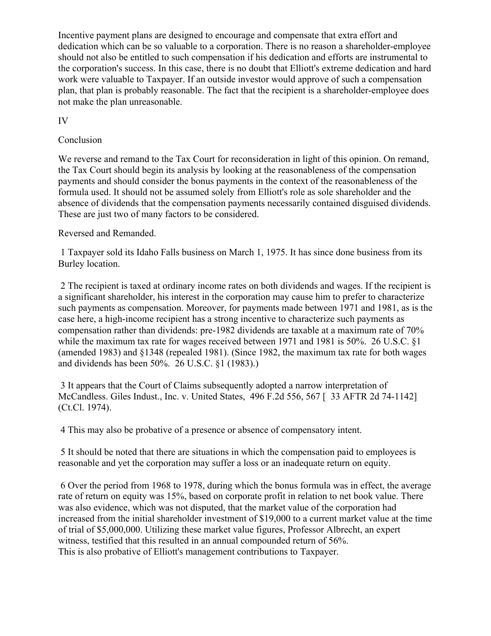Incentive payment plans are designed to encourage and compensate that extra effort and dedication which can be so valuable to a corporation. There is no reason a shareholder-employee should not also be entitled to such compensation if his dedication and efforts are instrumental to the corporation's success. In this case, there is no doubt that Elliott's extreme dedication and hard work were valuable to Taxpayer. If an outside investor would approve of such a compensation plan, that plan is probably reasonable. The fact that the recipient is a shareholder-employee does not make the plan unreasonable.

IV

## Conclusion

We reverse and remand to the Tax Court for reconsideration in light of this opinion. On remand, the Tax Court should begin its analysis by looking at the reasonableness of the compensation payments and should consider the bonus payments in the context of the reasonableness of the formula used. It should not be assumed solely from Elliott's role as sole shareholder and the absence of dividends that the compensation payments necessarily contained disguised dividends. These are just two of many factors to be considered.

#### Reversed and Remanded.

1 Taxpayer sold its Idaho Falls business on March 1, 1975. It has since done business from its Burley location.

2 The recipient is taxed at ordinary income rates on both dividends and wages. If the recipient is a significant shareholder, his interest in the corporation may cause him to prefer to characterize such payments as compensation. Moreover, for payments made between 1971 and 1981, as is the case here, a high-income recipient has a strong incentive to characterize such payments as compensation rather than dividends: pre-1982 dividends are taxable at a maximum rate of 70% while the maximum tax rate for wages received between 1971 and 1981 is 50%. 26 U.S.C. §1 (amended 1983) and §1348 (repealed 1981). (Since 1982, the maximum tax rate for both wages and dividends has been 50%. 26 U.S.C. §1 (1983).)

3 It appears that the Court of Claims subsequently adopted a narrow interpretation of McCandless. Giles Indust., Inc. v. United States, 496 F.2d 556, 567 [ 33 AFTR 2d 74-1142] (Ct.Cl. 1974).

4 This may also be probative of a presence or absence of compensatory intent.

5 It should be noted that there are situations in which the compensation paid to employees is reasonable and yet the corporation may suffer a loss or an inadequate return on equity.

6 Over the period from 1968 to 1978, during which the bonus formula was in effect, the average rate of return on equity was 15%, based on corporate profit in relation to net book value. There was also evidence, which was not disputed, that the market value of the corporation had increased from the initial shareholder investment of \$19,000 to a current market value at the time of trial of \$5,000,000. Utilizing these market value figures, Professor Albrecht, an expert witness, testified that this resulted in an annual compounded return of 56%. This is also probative of Elliott's management contributions to Taxpayer.